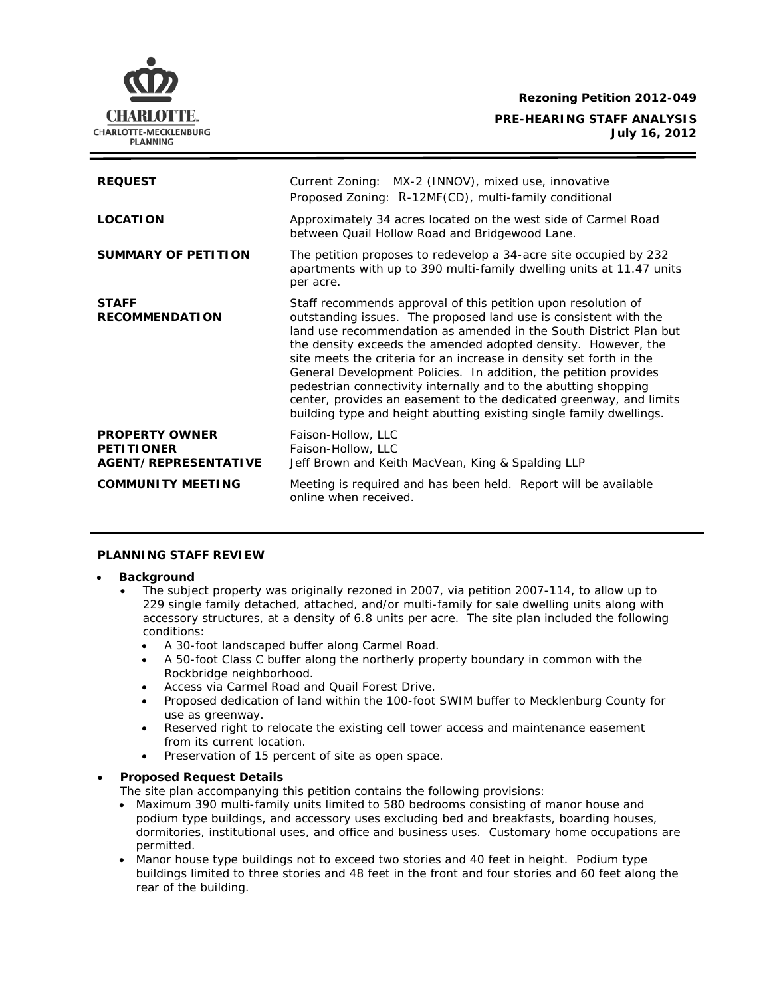**Rezoning Petition 2012-049**

**PRE-HEARING STAFF ANALYSIS July 16, 2012**



**COMMUNITY MEETING** Meeting is required and has been held. Report will be available online when received.

### **PLANNING STAFF REVIEW**

### • **Background**

CHARLOTTE. CHARLOTTE-MECKLENBURG **PLANNING** 

- The subject property was originally rezoned in 2007, via petition 2007-114, to allow up to 229 single family detached, attached, and/or multi-family for sale dwelling units along with accessory structures, at a density of 6.8 units per acre. The site plan included the following conditions:
	- A 30-foot landscaped buffer along Carmel Road.
	- A 50-foot Class C buffer along the northerly property boundary in common with the Rockbridge neighborhood.
	- Access via Carmel Road and Quail Forest Drive.
	- Proposed dedication of land within the 100-foot SWIM buffer to Mecklenburg County for use as greenway.
	- Reserved right to relocate the existing cell tower access and maintenance easement from its current location.
	- Preservation of 15 percent of site as open space.

# • **Proposed Request Details**

The site plan accompanying this petition contains the following provisions:

- Maximum 390 multi-family units limited to 580 bedrooms consisting of manor house and podium type buildings, and accessory uses excluding bed and breakfasts, boarding houses, dormitories, institutional uses, and office and business uses. Customary home occupations are permitted.
- Manor house type buildings not to exceed two stories and 40 feet in height. Podium type buildings limited to three stories and 48 feet in the front and four stories and 60 feet along the rear of the building.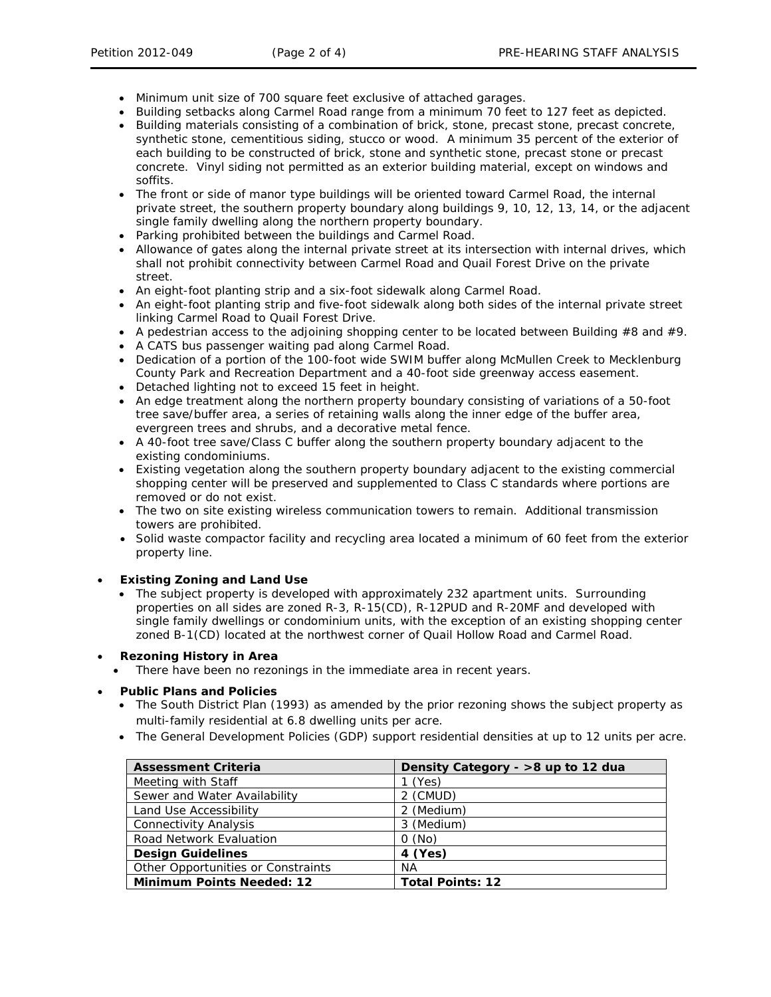- Minimum unit size of 700 square feet exclusive of attached garages.
- Building setbacks along Carmel Road range from a minimum 70 feet to 127 feet as depicted.
- Building materials consisting of a combination of brick, stone, precast stone, precast concrete, synthetic stone, cementitious siding, stucco or wood. A minimum 35 percent of the exterior of each building to be constructed of brick, stone and synthetic stone, precast stone or precast concrete. Vinyl siding not permitted as an exterior building material, except on windows and soffits.
- The front or side of manor type buildings will be oriented toward Carmel Road, the internal private street, the southern property boundary along buildings 9, 10, 12, 13, 14, or the adjacent single family dwelling along the northern property boundary.
- Parking prohibited between the buildings and Carmel Road.
- Allowance of gates along the internal private street at its intersection with internal drives, which shall not prohibit connectivity between Carmel Road and Quail Forest Drive on the private street.
- An eight-foot planting strip and a six-foot sidewalk along Carmel Road.
- An eight-foot planting strip and five-foot sidewalk along both sides of the internal private street linking Carmel Road to Quail Forest Drive.
- A pedestrian access to the adjoining shopping center to be located between Building  $#8$  and  $#9$ .
- A CATS bus passenger waiting pad along Carmel Road.
- Dedication of a portion of the 100-foot wide SWIM buffer along McMullen Creek to Mecklenburg County Park and Recreation Department and a 40-foot side greenway access easement.
- Detached lighting not to exceed 15 feet in height.
- An edge treatment along the northern property boundary consisting of variations of a 50-foot tree save/buffer area, a series of retaining walls along the inner edge of the buffer area, evergreen trees and shrubs, and a decorative metal fence.
- A 40-foot tree save/Class C buffer along the southern property boundary adjacent to the existing condominiums.
- Existing vegetation along the southern property boundary adjacent to the existing commercial shopping center will be preserved and supplemented to Class C standards where portions are removed or do not exist.
- The two on site existing wireless communication towers to remain. Additional transmission towers are prohibited.
- Solid waste compactor facility and recycling area located a minimum of 60 feet from the exterior property line.

### • **Existing Zoning and Land Use**

• The subject property is developed with approximately 232 apartment units. Surrounding properties on all sides are zoned R-3, R-15(CD), R-12PUD and R-20MF and developed with single family dwellings or condominium units, with the exception of an existing shopping center zoned B-1(CD) located at the northwest corner of Quail Hollow Road and Carmel Road.

### • **Rezoning History in Area**

There have been no rezonings in the immediate area in recent years.

### • **Public Plans and Policies**

- The *South District* Plan (1993) as amended by the prior rezoning shows the subject property as multi-family residential at 6.8 dwelling units per acre.
- The *General Development Policies* (GDP) support residential densities at up to 12 units per acre.

| <b>Assessment Criteria</b>         | Density Category - >8 up to 12 dua |
|------------------------------------|------------------------------------|
| Meeting with Staff                 | $1$ (Yes)                          |
| Sewer and Water Availability       | 2 (CMUD)                           |
| Land Use Accessibility             | 2 (Medium)                         |
| <b>Connectivity Analysis</b>       | 3 (Medium)                         |
| Road Network Evaluation            | O(No)                              |
| <b>Design Guidelines</b>           | 4 (Yes)                            |
| Other Opportunities or Constraints | <b>NA</b>                          |
| <b>Minimum Points Needed: 12</b>   | <b>Total Points: 12</b>            |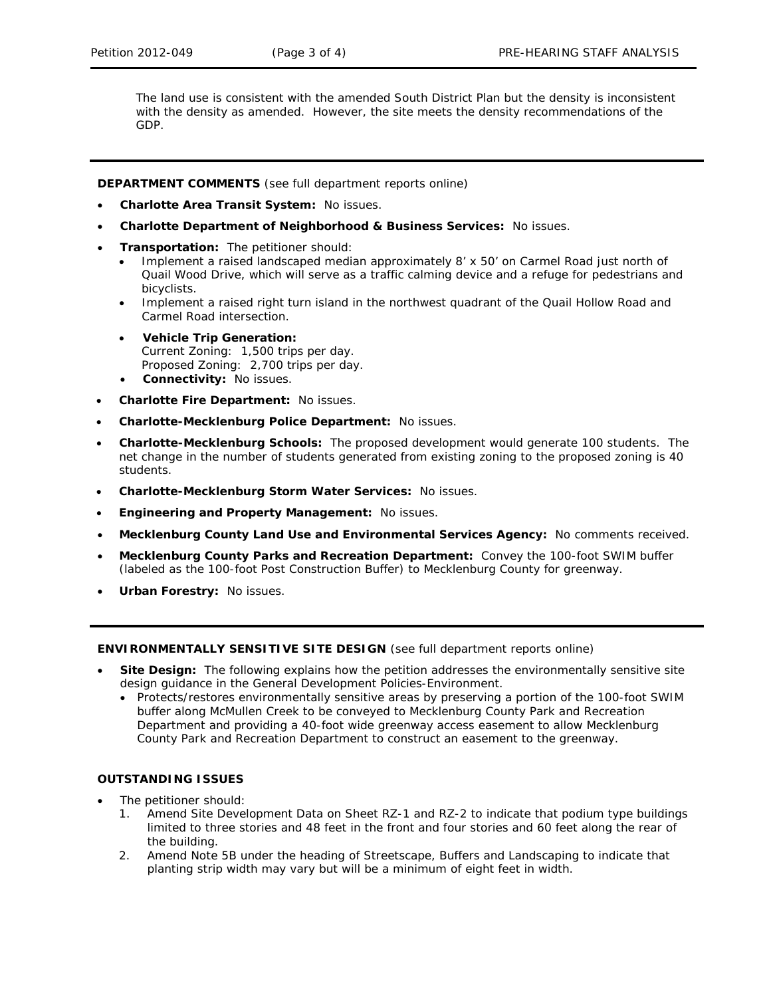The land use is consistent with the amended *South District Plan* but the density is inconsistent with the density as amended. However, the site meets the density recommendations of the GDP.

**DEPARTMENT COMMENTS** (see full department reports online)

- **Charlotte Area Transit System:** No issues.
- **Charlotte Department of Neighborhood & Business Services:** No issues.
- **Transportation:** The petitioner should:
	- Implement a raised landscaped median approximately 8' x 50' on Carmel Road just north of Quail Wood Drive, which will serve as a traffic calming device and a refuge for pedestrians and bicyclists.
	- Implement a raised right turn island in the northwest quadrant of the Quail Hollow Road and Carmel Road intersection.
	- **Vehicle Trip Generation:** Current Zoning: 1,500 trips per day. Proposed Zoning: 2,700 trips per day.
	- **Connectivity:** No issues.
- **Charlotte Fire Department:** No issues.
- **Charlotte-Mecklenburg Police Department:** No issues.
- **Charlotte-Mecklenburg Schools:** The proposed development would generate 100 students. The net change in the number of students generated from existing zoning to the proposed zoning is 40 students.
- **Charlotte-Mecklenburg Storm Water Services:** No issues.
- **Engineering and Property Management:** No issues.
- **Mecklenburg County Land Use and Environmental Services Agency:** No comments received.
- **Mecklenburg County Parks and Recreation Department:** Convey the 100-foot SWIM buffer (labeled as the 100-foot Post Construction Buffer) to Mecklenburg County for greenway.
- **Urban Forestry:** No issues.

**ENVIRONMENTALLY SENSITIVE SITE DESIGN** (see full department reports online)

- **Site Design:** The following explains how the petition addresses the environmentally sensitive site design guidance in the *General Development Policies-Environment*.
	- Protects/restores environmentally sensitive areas by preserving a portion of the 100-foot SWIM buffer along McMullen Creek to be conveyed to Mecklenburg County Park and Recreation Department and providing a 40-foot wide greenway access easement to allow Mecklenburg County Park and Recreation Department to construct an easement to the greenway.

# **OUTSTANDING ISSUES**

- The petitioner should:
	- 1. Amend Site Development Data on Sheet RZ-1 and RZ-2 to indicate that podium type buildings limited to three stories and 48 feet in the front and four stories and 60 feet along the rear of the building.
	- 2. Amend Note 5B under the heading of Streetscape, Buffers and Landscaping to indicate that planting strip width may vary but will be a minimum of eight feet in width.